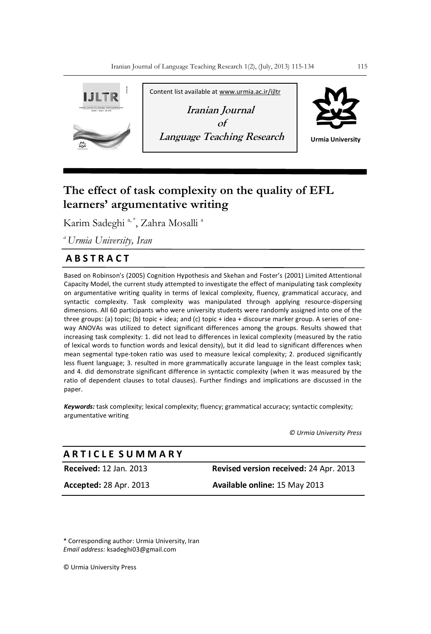

# **The effect of task complexity on the quality of EFL learners' argumentative writing**

Karim Sadeghi<sup>a,\*</sup>, Zahra Mosalli<sup>a</sup>

*<sup>a</sup>Urmia University, Iran*

## **A B S T R A C T**

Based on Robinson's (2005) Cognition Hypothesis and Skehan and Foster's (2001) Limited Attentional Capacity Model, the current study attempted to investigate the effect of manipulating task complexity on argumentative writing quality in terms of lexical complexity, fluency, grammatical accuracy, and syntactic complexity. Task complexity was manipulated through applying resource-dispersing dimensions. All 60 participants who were university students were randomly assigned into one of the three groups: (a) topic; (b) topic + idea; and (c) topic + idea + discourse marker group. A series of oneway ANOVAs was utilized to detect significant differences among the groups. Results showed that increasing task complexity: 1. did not lead to differences in lexical complexity (measured by the ratio of lexical words to function words and lexical density), but it did lead to significant differences when mean segmental type-token ratio was used to measure lexical complexity; 2. produced significantly less fluent language; 3. resulted in more grammatically accurate language in the least complex task; and 4. did demonstrate significant difference in syntactic complexity (when it was measured by the ratio of dependent clauses to total clauses). Further findings and implications are discussed in the paper.

*Keywords:* task complexity; lexical complexity; fluency; grammatical accuracy; syntactic complexity; argumentative writing

*© Urmia University Press*

## **A R T I C L E S U M M A R Y**

**Received:** 12 Jan. 2013 **Revised version received:** 24 Apr. 2013

**Accepted:** 28 Apr. 2013 **Available online:** 15 May 2013

\* Corresponding author: Urmia University, Iran *Email address:* ksadeghi03@gmail.com

© Urmia University Press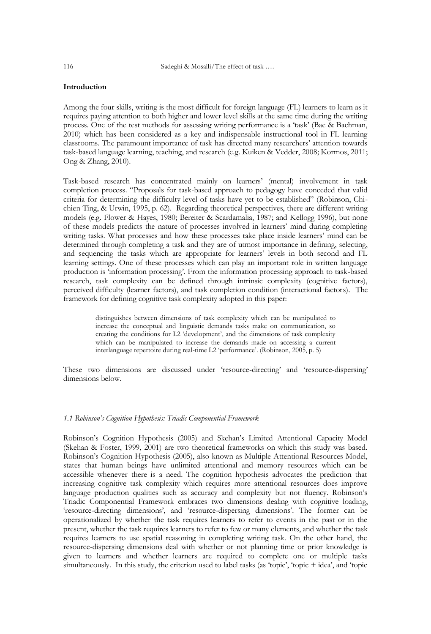### **Introduction**

Among the four skills, writing is the most difficult for foreign language (FL) learners to learn as it requires paying attention to both higher and lower level skills at the same time during the writing process. One of the test methods for assessing writing performance is a "task" (Bae & Bachman, 2010) which has been considered as a key and indispensable instructional tool in FL learning classrooms. The paramount importance of task has directed many researchers" attention towards task-based language learning, teaching, and research (e.g. Kuiken & Vedder, 2008; Kormos, 2011; Ong & Zhang, 2010).

Task-based research has concentrated mainly on learners" (mental) involvement in task completion process. "Proposals for task-based approach to pedagogy have conceded that valid criteria for determining the difficulty level of tasks have yet to be established" (Robinson, Chichien Ting, & Urwin, 1995, p. 62). Regarding theoretical perspectives, there are different writing models (e.g. Flower & Hayes, 1980; Bereiter & Scardamalia, 1987; and Kellogg 1996), but none of these models predicts the nature of processes involved in learners" mind during completing writing tasks. What processes and how these processes take place inside learners" mind can be determined through completing a task and they are of utmost importance in defining, selecting, and sequencing the tasks which are appropriate for learners" levels in both second and FL learning settings. One of these processes which can play an important role in written language production is "information processing". From the information processing approach to task-based research, task complexity can be defined through intrinsic complexity (cognitive factors), perceived difficulty (learner factors), and task completion condition (interactional factors). The framework for defining cognitive task complexity adopted in this paper:

> distinguishes between dimensions of task complexity which can be manipulated to increase the conceptual and linguistic demands tasks make on communication, so creating the conditions for L2 'development', and the dimensions of task complexity which can be manipulated to increase the demands made on accessing a current interlanguage repertoire during real-time L2 "performance". (Robinson, 2005, p. 5)

These two dimensions are discussed under "resource-directing" and "resource-dispersing" dimensions below.

#### *1.1 Robinson's Cognition Hypothesis: Triadic Componential Framework*

Robinson"s Cognition Hypothesis (2005) and Skehan"s Limited Attentional Capacity Model (Skehan & Foster, 1999, 2001) are two theoretical frameworks on which this study was based. Robinson"s Cognition Hypothesis (2005), also known as Multiple Attentional Resources Model, states that human beings have unlimited attentional and memory resources which can be accessible whenever there is a need. The cognition hypothesis advocates the prediction that increasing cognitive task complexity which requires more attentional resources does improve language production qualities such as accuracy and complexity but not fluency. Robinson's Triadic Componential Framework embraces two dimensions dealing with cognitive loading, 'resource-directing dimensions', and 'resource-dispersing dimensions'. The former can be operationalized by whether the task requires learners to refer to events in the past or in the present, whether the task requires learners to refer to few or many elements, and whether the task requires learners to use spatial reasoning in completing writing task. On the other hand, the resource-dispersing dimensions deal with whether or not planning time or prior knowledge is given to learners and whether learners are required to complete one or multiple tasks simultaneously. In this study, the criterion used to label tasks (as 'topic', 'topic + idea', and 'topic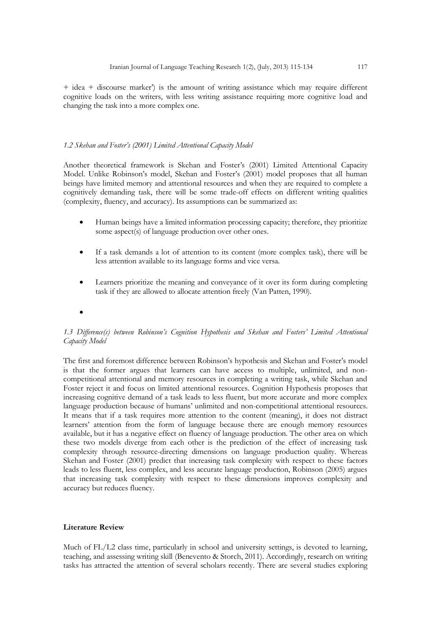+ idea + discourse marker") is the amount of writing assistance which may require different cognitive loads on the writers, with less writing assistance requiring more cognitive load and changing the task into a more complex one.

#### *1.2 Skehan and Foster's (2001) Limited Attentional Capacity Model*

Another theoretical framework is Skehan and Foster's (2001) Limited Attentional Capacity Model. Unlike Robinson's model, Skehan and Foster's (2001) model proposes that all human beings have limited memory and attentional resources and when they are required to complete a cognitively demanding task, there will be some trade-off effects on different writing qualities (complexity, fluency, and accuracy). Its assumptions can be summarized as:

- Human beings have a limited information processing capacity; therefore, they prioritize some aspect(s) of language production over other ones.
- If a task demands a lot of attention to its content (more complex task), there will be less attention available to its language forms and vice versa.
- Learners prioritize the meaning and conveyance of it over its form during completing task if they are allowed to allocate attention freely (Van Patten, 1990).
- $\bullet$

### *1.3 Difference(s) between Robinson's Cognition Hypothesis and Skehan and Fosters' Limited Attentional Capacity Model*

The first and foremost difference between Robinson's hypothesis and Skehan and Foster's model is that the former argues that learners can have access to multiple, unlimited, and noncompetitional attentional and memory resources in completing a writing task, while Skehan and Foster reject it and focus on limited attentional resources. Cognition Hypothesis proposes that increasing cognitive demand of a task leads to less fluent, but more accurate and more complex language production because of humans" unlimited and non-competitional attentional resources. It means that if a task requires more attention to the content (meaning), it does not distract learners" attention from the form of language because there are enough memory resources available, but it has a negative effect on fluency of language production. The other area on which these two models diverge from each other is the prediction of the effect of increasing task complexity through resource-directing dimensions on language production quality. Whereas Skehan and Foster (2001) predict that increasing task complexity with respect to these factors leads to less fluent, less complex, and less accurate language production, Robinson (2005) argues that increasing task complexity with respect to these dimensions improves complexity and accuracy but reduces fluency.

#### **Literature Review**

Much of FL/L2 class time, particularly in school and university settings, is devoted to learning, teaching, and assessing writing skill (Benevento & Storch, 2011). Accordingly, research on writing tasks has attracted the attention of several scholars recently. There are several studies exploring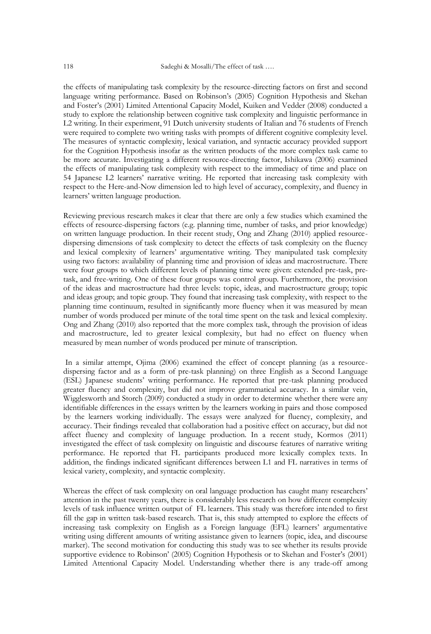the effects of manipulating task complexity by the resource-directing factors on first and second language writing performance. Based on Robinson"s (2005) Cognition Hypothesis and Skehan and Foster"s (2001) Limited Attentional Capacity Model, Kuiken and Vedder (2008) conducted a study to explore the relationship between cognitive task complexity and linguistic performance in L2 writing. In their experiment, 91 Dutch university students of Italian and 76 students of French were required to complete two writing tasks with prompts of different cognitive complexity level. The measures of syntactic complexity, lexical variation, and syntactic accuracy provided support for the Cognition Hypothesis insofar as the written products of the more complex task came to be more accurate. Investigating a different resource-directing factor, Ishikawa (2006) examined the effects of manipulating task complexity with respect to the immediacy of time and place on 54 Japanese L2 learners" narrative writing. He reported that increasing task complexity with respect to the Here-and-Now dimension led to high level of accuracy, complexity, and fluency in learners" written language production.

Reviewing previous research makes it clear that there are only a few studies which examined the effects of resource-dispersing factors (e.g. planning time, number of tasks, and prior knowledge) on written language production. In their recent study, Ong and Zhang (2010) applied resourcedispersing dimensions of task complexity to detect the effects of task complexity on the fluency and lexical complexity of learners" argumentative writing. They manipulated task complexity using two factors: availability of planning time and provision of ideas and macrostructure. There were four groups to which different levels of planning time were given: extended pre-task, pretask, and free-writing. One of these four groups was control group. Furthermore, the provision of the ideas and macrostructure had three levels: topic, ideas, and macrostructure group; topic and ideas group; and topic group. They found that increasing task complexity, with respect to the planning time continuum, resulted in significantly more fluency when it was measured by mean number of words produced per minute of the total time spent on the task and lexical complexity. Ong and Zhang (2010) also reported that the more complex task, through the provision of ideas and macrostructure, led to greater lexical complexity, but had no effect on fluency when measured by mean number of words produced per minute of transcription.

In a similar attempt, Ojima (2006) examined the effect of concept planning (as a resourcedispersing factor and as a form of pre-task planning) on three English as a Second Language (ESL) Japanese students" writing performance. He reported that pre-task planning produced greater fluency and complexity, but did not improve grammatical accuracy. In a similar vein, Wigglesworth and Storch (2009) conducted a study in order to determine whether there were any identifiable differences in the essays written by the learners working in pairs and those composed by the learners working individually. The essays were analyzed for fluency, complexity, and accuracy. Their findings revealed that collaboration had a positive effect on accuracy, but did not affect fluency and complexity of language production. In a recent study, Kormos (2011) investigated the effect of task complexity on linguistic and discourse features of narrative writing performance. He reported that FL participants produced more lexically complex texts. In addition, the findings indicated significant differences between L1 and FL narratives in terms of lexical variety, complexity, and syntactic complexity.

Whereas the effect of task complexity on oral language production has caught many researchers' attention in the past twenty years, there is considerably less research on how different complexity levels of task influence written output of FL learners. This study was therefore intended to first fill the gap in written task-based research. That is, this study attempted to explore the effects of increasing task complexity on English as a Foreign language (EFL) learners" argumentative writing using different amounts of writing assistance given to learners (topic, idea, and discourse marker). The second motivation for conducting this study was to see whether its results provide supportive evidence to Robinson' (2005) Cognition Hypothesis or to Skehan and Foster's (2001) Limited Attentional Capacity Model. Understanding whether there is any trade-off among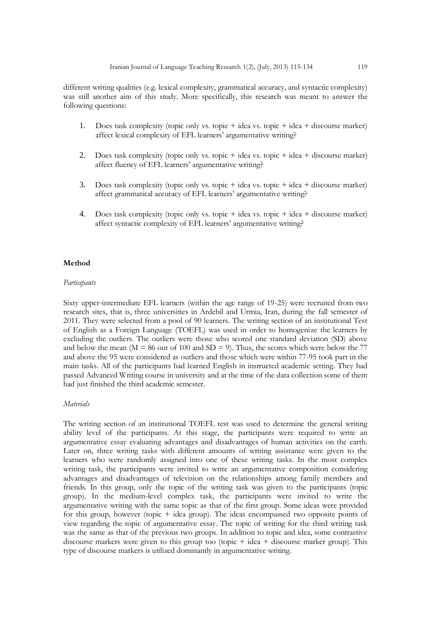different writing qualities (e.g. lexical complexity, grammatical accuracy, and syntactic complexity) was still another aim of this study. More specifically, this research was meant to answer the following questions:

- 1. Does task complexity (topic only vs. topic + idea vs. topic + idea + discourse marker) affect lexical complexity of EFL learners' argumentative writing?
- 2. Does task complexity (topic only vs. topic + idea vs. topic + idea + discourse marker) affect fluency of EFL learners' argumentative writing?
- 3. Does task complexity (topic only vs. topic + idea vs. topic + idea + discourse marker) affect grammatical accuracy of EFL learners' argumentative writing?
- 4. Does task complexity (topic only vs. topic + idea vs. topic + idea + discourse marker) affect syntactic complexity of EFL learners' argumentative writing?

#### **Method**

#### *Participants*

Sixty upper-intermediate EFL learners (within the age range of 19-25) were recruited from two research sites, that is, three universities in Ardebil and Urmia, Iran, during the fall semester of 2011. They were selected from a pool of 90 learners. The writing section of an institutional Test of English as a Foreign Language (TOEFL) was used in order to homogenize the learners by excluding the outliers. The outliers were those who scored one standard deviation (SD) above and below the mean ( $M = 86$  out of 100 and SD = 9). Thus, the scores which were below the 77 and above the 95 were considered as outliers and those which were within 77-95 took part in the main tasks. All of the participants had learned English in instructed academic setting. They had passed Advanced Writing course in university and at the time of the data collection some of them had just finished the third academic semester.

#### *Materials*

The writing section of an institutional TOEFL test was used to determine the general writing ability level of the participants. At this stage, the participants were required to write an argumentative essay evaluating advantages and disadvantages of human activities on the earth. Later on, three writing tasks with different amounts of writing assistance were given to the learners who were randomly assigned into one of these writing tasks. In the most complex writing task, the participants were invited to write an argumentative composition considering advantages and disadvantages of television on the relationships among family members and friends. In this group, only the topic of the writing task was given to the participants (topic group). In the medium-level complex task, the participants were invited to write the argumentative writing with the same topic as that of the first group. Some ideas were provided for this group, however (topic + idea group). The ideas encompassed two opposite points of view regarding the topic of argumentative essay. The topic of writing for the third writing task was the same as that of the previous two groups. In addition to topic and idea, some contrastive discourse markers were given to this group too (topic + idea + discourse marker group). This type of discourse markers is utilized dominantly in argumentative writing.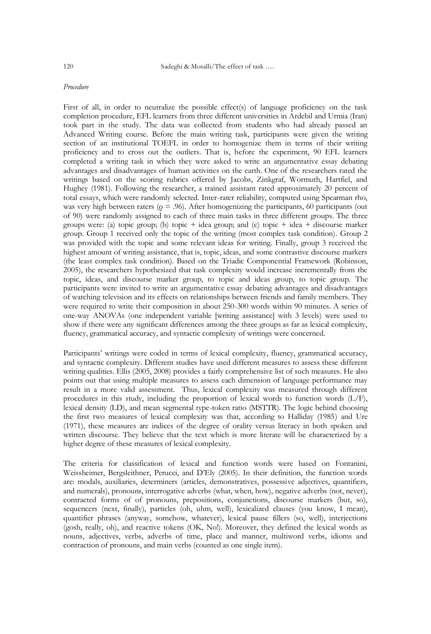#### *Procedure*

First of all, in order to neutralize the possible effect(s) of language proficiency on the task completion procedure, EFL learners from three different universities in Ardebil and Urmia (Iran) took part in the study. The data was collected from students who had already passed an Advanced Writing course. Before the main writing task, participants were given the writing section of an institutional TOEFL in order to homogenize them in terms of their writing proficiency and to cross out the outliers. That is, before the experiment, 90 EFL learners completed a writing task in which they were asked to write an argumentative essay debating advantages and disadvantages of human activities on the earth. One of the researchers rated the writings based on the scoring rubrics offered by Jacobs, Zinkgraf, Wormuth, Hartfiel, and Hughey (1981). Following the researcher, a trained assistant rated approximately 20 percent of total essays, which were randomly selected. Inter-rater reliability, computed using Spearman rho, was very high between raters ( $\rho = .96$ ). After homogenizing the participants, 60 participants (out of 90) were randomly assigned to each of three main tasks in three different groups. The three groups were: (a) topic group; (b) topic + idea group; and (c) topic + idea + discourse marker group. Group 1 received only the topic of the writing (most complex task condition). Group 2 was provided with the topic and some relevant ideas for writing. Finally, group 3 received the highest amount of writing assistance, that is, topic, ideas, and some contrastive discourse markers (the least complex task condition). Based on the Triadic Componential Framework (Robinson, 2005), the researchers hypothesized that task complexity would increase incrementally from the topic, ideas, and discourse marker group, to topic and ideas group, to topic group. The participants were invited to write an argumentative essay debating advantages and disadvantages of watching television and its effects on relationships between friends and family members. They were required to write their composition in about 250-300 words within 90 minutes. A series of one-way ANOVAs (one independent variable [writing assistance] with 3 levels) were used to show if there were any significant differences among the three groups as far as lexical complexity, fluency, grammatical accuracy, and syntactic complexity of writings were concerned.

Participants" writings were coded in terms of lexical complexity, fluency, grammatical accuracy, and syntactic complexity. Different studies have used different measures to assess these different writing qualities. Ellis (2005, 2008) provides a fairly comprehensive list of such measures. He also points out that using multiple measures to assess each dimension of language performance may result in a more valid assessment. Thus, lexical complexity was measured through different procedures in this study, including the proportion of lexical words to function words (L/F), lexical density (LD), and mean segmental type-token ratio (MSTTR). The logic behind choosing the first two measures of lexical complexity was that, according to Halliday (1985) and Ure (1971), these measures are indices of the degree of orality versus literacy in both spoken and written discourse. They believe that the text which is more literate will be characterized by a higher degree of these measures of lexical complexity.

The criteria for classification of lexical and function words were based on Fontanini, Weissheimer, Bergsleithner, Perucci, and D"Ely (2005). In their definition, the function words are: modals, auxiliaries, determiners (articles, demonstratives, possessive adjectives, quantifiers, and numerals), pronouns, interrogative adverbs (what, when, how), negative adverbs (not, never), contracted forms of of pronouns, prepositions, conjunctions, discourse markers (but, so), sequencers (next, finally), particles (oh, uhm, well), lexicalized clauses (you know, I mean), quantifier phrases (anyway, somehow, whatever), lexical pause fillers (so, well), interjections (gosh, really, oh), and reactive tokens (OK, No!). Moreover, they defined the lexical words as nouns, adjectives, verbs, adverbs of time, place and manner, multiword verbs, idioms and contraction of pronouns, and main verbs (counted as one single item).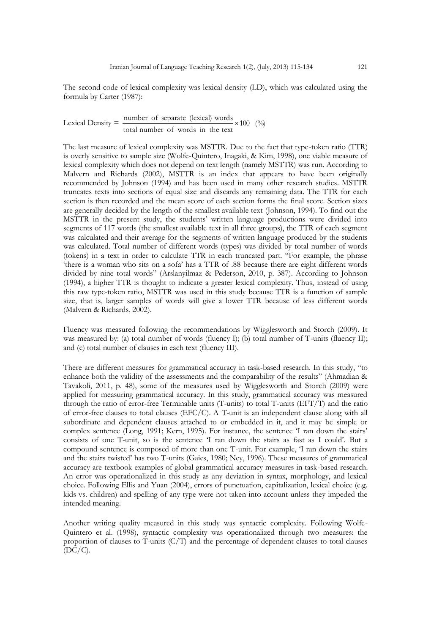The second code of lexical complexity was lexical density (LD), which was calculated using the formula by Carter (1987):

Lexical Density = 
$$
\frac{\text{number of separate (lexical) words}}{\text{total number of words in the text}} \times 100 \, \text{(\%)}
$$

The last measure of lexical complexity was MSTTR. Due to the fact that type-token ratio (TTR) is overly sensitive to sample size (Wolfe-Quintero, Inagaki, & Kim, 1998), one viable measure of lexical complexity which does not depend on text length (namely MSTTR) was run. According to Malvern and Richards (2002), MSTTR is an index that appears to have been originally recommended by Johnson (1994) and has been used in many other research studies. MSTTR truncates texts into sections of equal size and discards any remaining data. The TTR for each section is then recorded and the mean score of each section forms the final score. Section sizes are generally decided by the length of the smallest available text (Johnson, 1994). To find out the MSTTR in the present study, the students' written language productions were divided into segments of 117 words (the smallest available text in all three groups), the TTR of each segment was calculated and their average for the segments of written language produced by the students was calculated. Total number of different words (types) was divided by total number of words (tokens) in a text in order to calculate TTR in each truncated part. "For example, the phrase "there is a woman who sits on a sofa" has a TTR of .88 because there are eight different words divided by nine total words" (Arslanyilmaz & Pederson, 2010, p. 387). According to Johnson (1994), a higher TTR is thought to indicate a greater lexical complexity. Thus, instead of using this raw type-token ratio, MSTTR was used in this study because TTR is a function of sample size, that is, larger samples of words will give a lower TTR because of less different words (Malvern & Richards, 2002).

Fluency was measured following the recommendations by Wigglesworth and Storch (2009). It was measured by: (a) total number of words (fluency I); (b) total number of T-units (fluency II); and (c) total number of clauses in each text (fluency III).

There are different measures for grammatical accuracy in task-based research. In this study, "to enhance both the validity of the assessments and the comparability of the results" (Ahmadian & Tavakoli, 2011, p. 48), some of the measures used by Wigglesworth and Storch (2009) were applied for measuring grammatical accuracy. In this study, grammatical accuracy was measured through the ratio of error-free Terminable units (T-units) to total T-units (EFT/T) and the ratio of error-free clauses to total clauses (EFC/C). A T-unit is an independent clause along with all subordinate and dependent clauses attached to or embedded in it, and it may be simple or complex sentence (Long, 1991; Kern, 1995). For instance, the sentence 'I ran down the stairs' consists of one T-unit, so is the sentence "I ran down the stairs as fast as I could"*.* But a compound sentence is composed of more than one T-unit. For example, 'I ran down the stairs and the stairs twisted" has two T-units (Gaies, 1980; Ney, 1996). These measures of grammatical accuracy are textbook examples of global grammatical accuracy measures in task-based research. An error was operationalized in this study as any deviation in syntax, morphology, and lexical choice. Following Ellis and Yuan (2004), errors of punctuation, capitalization, lexical choice (e.g. kids vs. children) and spelling of any type were not taken into account unless they impeded the intended meaning.

Another writing quality measured in this study was syntactic complexity. Following Wolfe-Quintero et al. (1998), syntactic complexity was operationalized through two measures: the proportion of clauses to T-units (C/T) and the percentage of dependent clauses to total clauses  $(DC/C).$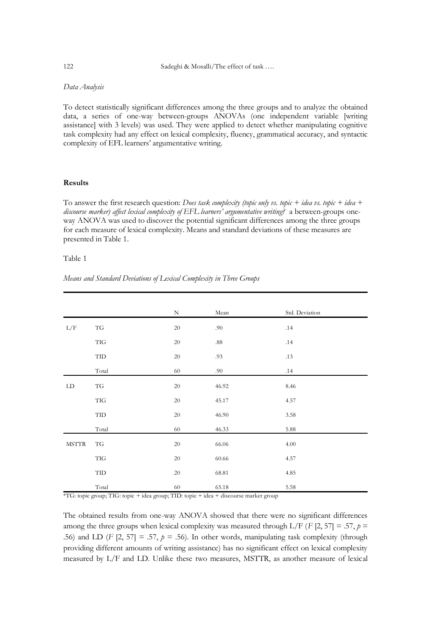## *Data Analysis*

To detect statistically significant differences among the three groups and to analyze the obtained data, a series of one-way between-groups ANOVAs (one independent variable [writing assistance] with 3 levels) was used. They were applied to detect whether manipulating cognitive task complexity had any effect on lexical complexity, fluency, grammatical accuracy, and syntactic complexity of EFL learners' argumentative writing.

## **Results**

To answer the first research question: *Does task complexity (topic only vs. topic + idea vs. topic + idea + discourse marker) affect lexical complexity of EFL learners' argumentative writing?* a between-groups oneway ANOVA was used to discover the potential significant differences among the three groups for each measure of lexical complexity. Means and standard deviations of these measures are presented in Table 1.

## Table 1

*Means and Standard Deviations of Lexical Complexity in Three Groups*

|                          |                               | $\mathbf N$ | Mean    | Std. Deviation |
|--------------------------|-------------------------------|-------------|---------|----------------|
| L/F                      | TG                            | 20          | .90     | .14            |
|                          | TIG                           | $20\,$      | $.88\,$ | .14            |
|                          | TID                           | $20\,$      | .93     | .13            |
|                          | Total                         | 60          | .90     | .14            |
| ${\rm LD}$               | TG                            | $20\,$      | 46.92   | 8.46           |
|                          | TIG                           | $20\,$      | 45.17   | 4.57           |
|                          | $\ensuremath{\mathsf{TID}}$   | $20\,$      | 46.90   | 3.58           |
|                          | Total                         | 60          | 46.33   | 5.88           |
| <b>MSTTR</b>             | TG                            | 20          | 66.06   | 4.00           |
|                          | TIG                           | $20\,$      | 60.66   | 4.57           |
|                          | TID                           | $20\,$      | 68.81   | 4.85           |
| $\overline{\phantom{a}}$ | Total<br>$\ddot{\phantom{0}}$ | 60          | 65.18   | 5.58           |

\*TG: topic group; TIG: topic + idea group; TID: topic + idea + discourse marker group

The obtained results from one-way ANOVA showed that there were no significant differences among the three groups when lexical complexity was measured through L/F ( $F$  [2, 57] = .57,  $p$  = .56) and LD (*F* [2, 57] = .57,  $p = .56$ ). In other words, manipulating task complexity (through providing different amounts of writing assistance) has no significant effect on lexical complexity measured by L/F and LD. Unlike these two measures, MSTTR, as another measure of lexical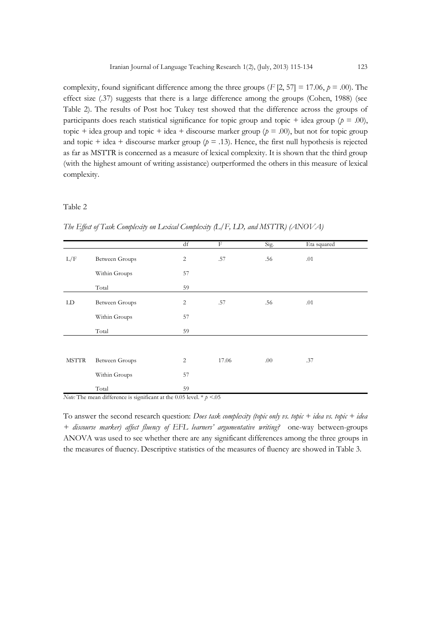complexity, found significant difference among the three groups  $(F \, [2, 57] = 17.06, p = .00)$ . The effect size (.37) suggests that there is a large difference among the groups (Cohen, 1988) (see Table 2). The results of Post hoc Tukey test showed that the difference across the groups of participants does reach statistical significance for topic group and topic + idea group ( $p = .00$ ), topic + idea group and topic + idea + discourse marker group ( $p = .00$ ), but not for topic group and topic + idea + discourse marker group  $(p = .13)$ . Hence, the first null hypothesis is rejected as far as MSTTR is concerned as a measure of lexical complexity. It is shown that the third group (with the highest amount of writing assistance) outperformed the others in this measure of lexical complexity.

#### Table 2

*The Effect of Task Complexity on Lexical Complexity (L/F, LD, and MSTTR) (ANOVA)*

|              |                       | df             | F     | Sig. | Eta squared |
|--------------|-----------------------|----------------|-------|------|-------------|
| L/F          | <b>Between Groups</b> | $\overline{c}$ | .57   | .56  | .01         |
|              | Within Groups         | 57             |       |      |             |
|              | Total                 | 59             |       |      |             |
| LD           | <b>Between Groups</b> | 2              | .57   | .56  | .01         |
|              | Within Groups         | 57             |       |      |             |
|              | Total                 | 59             |       |      |             |
|              |                       |                |       |      |             |
| <b>MSTTR</b> | <b>Between Groups</b> | 2              | 17.06 | .00  | .37         |
|              | Within Groups         | 57             |       |      |             |
|              | Total                 | 59             |       |      |             |

*Note:* The mean difference is significant at the 0.05 level. \* *p* <.05

To answer the second research question: *Does task complexity (topic only vs. topic + idea vs. topic + idea + discourse marker) affect fluency of EFL learners' argumentative writing?* one-way between-groups ANOVA was used to see whether there are any significant differences among the three groups in the measures of fluency. Descriptive statistics of the measures of fluency are showed in Table 3.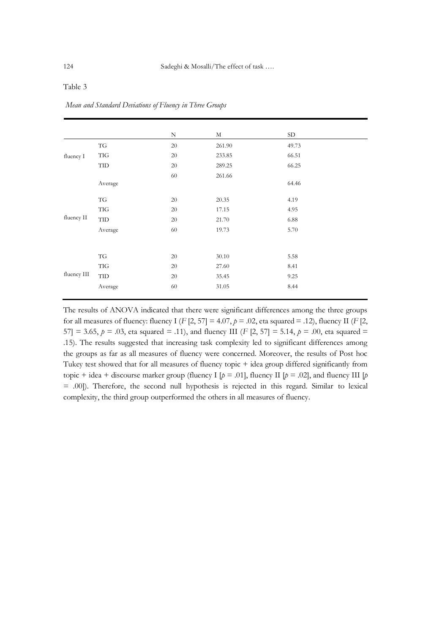|             |                      | $\mathbf N$ | $_{\rm M}$ | <b>SD</b> |  |
|-------------|----------------------|-------------|------------|-----------|--|
| fluency I   | TG                   | 20          | 261.90     | 49.73     |  |
|             | TIG                  | $20\,$      | 233.85     | 66.51     |  |
|             | TID                  | $20\,$      | 289.25     | 66.25     |  |
|             |                      | 60          | 261.66     |           |  |
|             | Average              |             |            | 64.46     |  |
|             | TG                   | 20          | 20.35      | 4.19      |  |
|             | <b>TIG</b>           | 20          | 17.15      | 4.95      |  |
| fluency II  | $\operatorname{TID}$ | 20          | 21.70      | 6.88      |  |
|             | Average              | 60          | 19.73      | 5.70      |  |
|             |                      |             |            |           |  |
|             | TG                   | 20          | 30.10      | 5.58      |  |
| fluency III | TIG                  | 20          | 27.60      | 8.41      |  |
|             | TID                  | 20          | 35.45      | 9.25      |  |
|             | Average              | 60          | 31.05      | 8.44      |  |
|             |                      |             |            |           |  |

## Table 3

*Mean and Standard Deviations of Fluency in Three Groups*

The results of ANOVA indicated that there were significant differences among the three groups for all measures of fluency: fluency I ( $F$  [2, 57] = 4.07,  $p = .02$ , eta squared = .12), fluency II ( $F$  [2, 57] = 3.65,  $p = .03$ , eta squared = .11), and fluency III (*F* [2, 57] = 5.14,  $p = .00$ , eta squared = .15). The results suggested that increasing task complexity led to significant differences among the groups as far as all measures of fluency were concerned. Moreover, the results of Post hoc Tukey test showed that for all measures of fluency topic + idea group differed significantly from topic + idea + discourse marker group (fluency I  $[p = .01]$ , fluency II  $[p = .02]$ , and fluency III  $[p]$ = .00]). Therefore, the second null hypothesis is rejected in this regard. Similar to lexical complexity, the third group outperformed the others in all measures of fluency.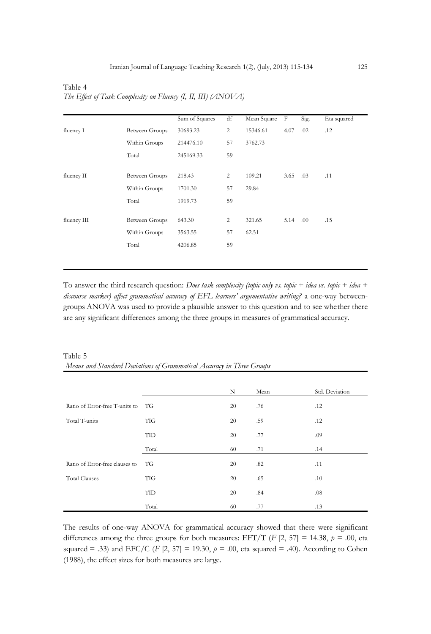|             |                       | Sum of Squares | df | Mean Square | F    | Sig. | Eta squared |
|-------------|-----------------------|----------------|----|-------------|------|------|-------------|
| fluency I   | <b>Between Groups</b> | 30693.23       | 2  | 15346.61    | 4.07 | .02  | .12         |
|             | Within Groups         | 214476.10      | 57 | 3762.73     |      |      |             |
|             | Total                 | 245169.33      | 59 |             |      |      |             |
|             |                       |                |    |             |      |      |             |
| fluency II  | Between Groups        | 218.43         | 2  | 109.21      | 3.65 | .03  | .11         |
|             | Within Groups         | 1701.30        | 57 | 29.84       |      |      |             |
|             | Total                 | 1919.73        | 59 |             |      |      |             |
|             |                       |                |    |             |      |      |             |
| fluency III | Between Groups        | 643.30         | 2  | 321.65      | 5.14 | .00. | .15         |
|             | Within Groups         | 3563.55        | 57 | 62.51       |      |      |             |
|             | Total                 | 4206.85        | 59 |             |      |      |             |
|             |                       |                |    |             |      |      |             |

Table 4 *The Effect of Task Complexity on Fluency (I, II, III) (ANOVA)*

To answer the third research question: *Does task complexity (topic only vs. topic + idea vs. topic + idea + discourse marker) affect grammatical accuracy of EFL learners' argumentative writing?* a one-way betweengroups ANOVA was used to provide a plausible answer to this question and to see whether there are any significant differences among the three groups in measures of grammatical accuracy.

|                                |            | N  | Mean | Std. Deviation |
|--------------------------------|------------|----|------|----------------|
| Ratio of Error-free T-units to | TG         | 20 | .76  | .12            |
| Total T-units                  | <b>TIG</b> | 20 | .59  | .12            |
|                                | TID        | 20 | .77  | .09            |
|                                | Total      | 60 | .71  | .14            |
| Ratio of Error-free clauses to | TG         | 20 | .82  | .11            |
| <b>Total Clauses</b>           | <b>TIG</b> | 20 | .65  | .10            |
|                                | TID        | 20 | .84  | .08            |
|                                | Total      | 60 | .77  | .13            |

Table 5 *Means and Standard Deviations of Grammatical Accuracy in Three Groups*

The results of one-way ANOVA for grammatical accuracy showed that there were significant differences among the three groups for both measures: EFT/T (*F* [2, 57] = 14.38,  $p = .00$ , eta squared = .33) and EFC/C (*F* [2, 57] = 19.30,  $p = .00$ , eta squared = .40). According to Cohen (1988), the effect sizes for both measures are large.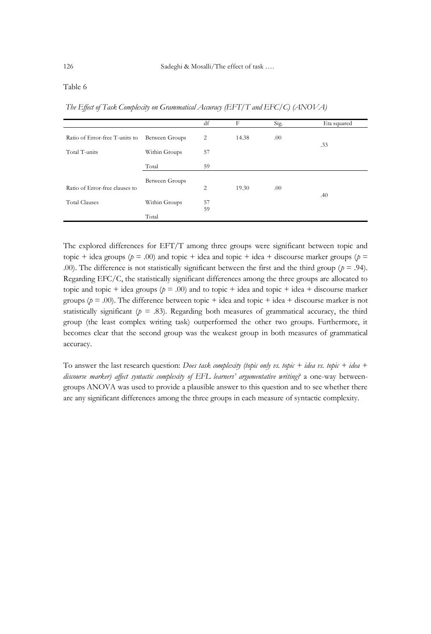### Table 6

*The Effect of Task Complexity on Grammatical Accuracy (EFT/T and EFC/C) (ANOVA)*

|                                |                | df       | F     | Sig. | Eta squared |
|--------------------------------|----------------|----------|-------|------|-------------|
| Ratio of Error-free T-units to | Between Groups | 2        | 14.38 | .00  | .33         |
| Total T-units                  | Within Groups  | 57       |       |      |             |
|                                | Total          | 59       |       |      |             |
|                                | Between Groups |          |       |      |             |
| Ratio of Error-free clauses to |                | 2        | 19.30 | .00  |             |
| <b>Total Clauses</b>           | Within Groups  | 57<br>59 |       |      | .40         |
|                                | Total          |          |       |      |             |

The explored differences for EFT/T among three groups were significant between topic and topic + idea groups ( $p = .00$ ) and topic + idea and topic + idea + discourse marker groups ( $p =$ .00). The difference is not statistically significant between the first and the third group ( $p = .94$ ). Regarding EFC/C, the statistically significant differences among the three groups are allocated to topic and topic + idea groups ( $p = .00$ ) and to topic + idea and topic + idea + discourse marker groups ( $p = .00$ ). The difference between topic + idea and topic + idea + discourse marker is not statistically significant ( $p = .83$ ). Regarding both measures of grammatical accuracy, the third group (the least complex writing task) outperformed the other two groups. Furthermore, it becomes clear that the second group was the weakest group in both measures of grammatical accuracy.

To answer the last research question: *Does task complexity (topic only vs. topic + idea vs. topic + idea + discourse marker) affect syntactic complexity of EFL learners' argumentative writing?* a one-way betweengroups ANOVA was used to provide a plausible answer to this question and to see whether there are any significant differences among the three groups in each measure of syntactic complexity.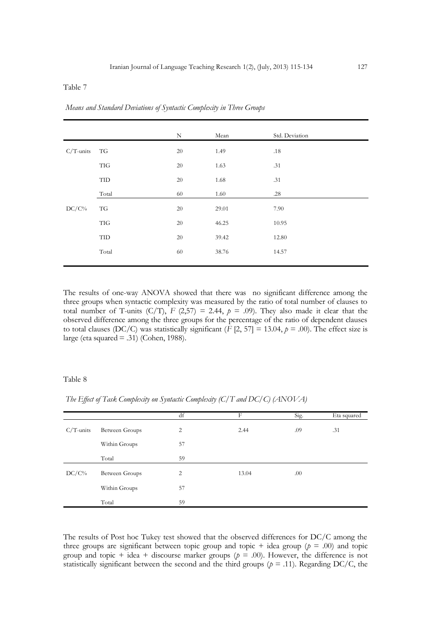## Table 7

|              |                             | $\rm N$ | Mean  | Std. Deviation |
|--------------|-----------------------------|---------|-------|----------------|
|              |                             |         |       |                |
| $C/T$ -units | TG                          | $20\,$  | 1.49  | $.18\,$        |
|              | TIG                         | $20\,$  | 1.63  | .31            |
|              | $\ensuremath{\mathsf{TID}}$ | $20\,$  | 1.68  | .31            |
|              | Total                       | 60      | 1.60  | .28            |
| $DC/C\%$     | TG                          | $20\,$  | 29.01 | 7.90           |
|              | TIG                         | $20\,$  | 46.25 | 10.95          |
|              | $\ensuremath{\mathsf{TID}}$ | $20\,$  | 39.42 | 12.80          |
|              | Total                       | 60      | 38.76 | 14.57          |
|              |                             |         |       |                |

*Means and Standard Deviations of Syntactic Complexity in Three Groups*

The results of one-way ANOVA showed that there was no significant difference among the three groups when syntactic complexity was measured by the ratio of total number of clauses to total number of T-units  $(C/T)$ ,  $F (2,57) = 2.44$ ,  $p = .09$ ). They also made it clear that the observed difference among the three groups for the percentage of the ratio of dependent clauses to total clauses (DC/C) was statistically significant ( $\overline{F}$  [2, 57] = 13.04,  $p = .00$ ). The effect size is large (eta squared = .31) (Cohen, 1988).

## Table 8

*The Effect of Task Complexity on Syntactic Complexity (C/T and DC/C) (ANOVA)*

|              |                | df | F     | Sig. | Eta squared |
|--------------|----------------|----|-------|------|-------------|
| $C/T$ -units | Between Groups | 2  | 2.44  | .09  | .31         |
|              | Within Groups  | 57 |       |      |             |
|              | Total          | 59 |       |      |             |
| $DC/C\%$     | Between Groups | 2  | 13.04 | .00  |             |
|              | Within Groups  | 57 |       |      |             |
|              | Total          | 59 |       |      |             |

The results of Post hoc Tukey test showed that the observed differences for DC/C among the three groups are significant between topic group and topic + idea group ( $p = .00$ ) and topic group and topic + idea + discourse marker groups  $(p = .00)$ . However, the difference is not statistically significant between the second and the third groups ( $p = .11$ ). Regarding DC/C, the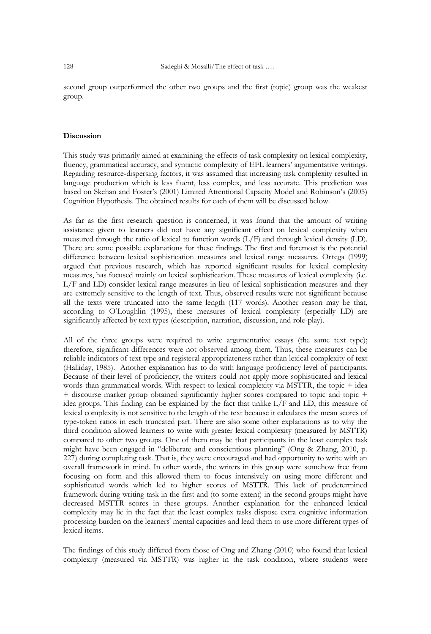second group outperformed the other two groups and the first (topic) group was the weakest group.

#### **Discussion**

This study was primarily aimed at examining the effects of task complexity on lexical complexity, fluency, grammatical accuracy, and syntactic complexity of EFL learners' argumentative writings. Regarding resource-dispersing factors, it was assumed that increasing task complexity resulted in language production which is less fluent, less complex, and less accurate. This prediction was based on Skehan and Foster"s (2001) Limited Attentional Capacity Model and Robinson"s (2005) Cognition Hypothesis. The obtained results for each of them will be discussed below.

As far as the first research question is concerned, it was found that the amount of writing assistance given to learners did not have any significant effect on lexical complexity when measured through the ratio of lexical to function words (L/F) and through lexical density (LD). There are some possible explanations for these findings. The first and foremost is the potential difference between lexical sophistication measures and lexical range measures. Ortega (1999) argued that previous research, which has reported significant results for lexical complexity measures, has focused mainly on lexical sophistication. These measures of lexical complexity (i.e. L/F and LD) consider lexical range measures in lieu of lexical sophistication measures and they are extremely sensitive to the length of text. Thus, observed results were not significant because all the texts were truncated into the same length (117 words). Another reason may be that, according to O"Loughlin (1995), these measures of lexical complexity (especially LD) are significantly affected by text types (description, narration, discussion, and role-play).

All of the three groups were required to write argumentative essays (the same text type); therefore, significant differences were not observed among them. Thus, these measures can be reliable indicators of text type and registeral appropriateness rather than lexical complexity of text (Halliday, 1985). Another explanation has to do with language proficiency level of participants. Because of their level of proficiency, the writers could not apply more sophisticated and lexical words than grammatical words. With respect to lexical complexity via MSTTR, the topic + idea + discourse marker group obtained significantly higher scores compared to topic and topic + idea groups. This finding can be explained by the fact that unlike L/F and LD, this measure of lexical complexity is not sensitive to the length of the text because it calculates the mean scores of type-token ratios in each truncated part. There are also some other explanations as to why the third condition allowed learners to write with greater lexical complexity (measured by MSTTR) compared to other two groups. One of them may be that participants in the least complex task might have been engaged in "deliberate and conscientious planning" (Ong & Zhang, 2010, p. 227) during completing task. That is, they were encouraged and had opportunity to write with an overall framework in mind. In other words, the writers in this group were somehow free from focusing on form and this allowed them to focus intensively on using more different and sophisticated words which led to higher scores of MSTTR. This lack of predetermined framework during writing task in the first and (to some extent) in the second groups might have decreased MSTTR scores in these groups. Another explanation for the enhanced lexical complexity may lie in the fact that the least complex tasks dispose extra cognitive information processing burden on the learners' mental capacities and lead them to use more different types of lexical items.

The findings of this study differed from those of Ong and Zhang (2010) who found that lexical complexity (measured via MSTTR) was higher in the task condition, where students were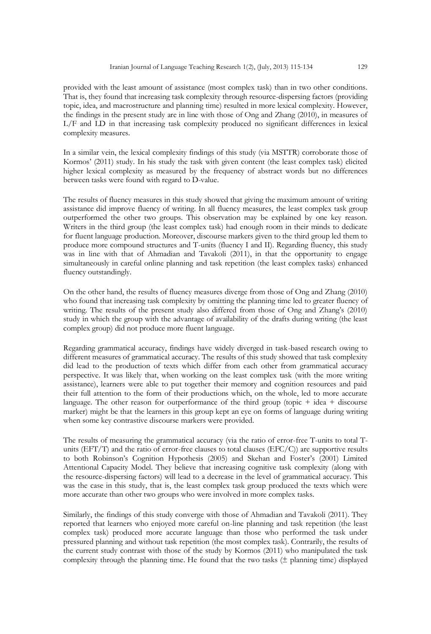provided with the least amount of assistance (most complex task) than in two other conditions. That is, they found that increasing task complexity through resource-dispersing factors (providing topic, idea, and macrostructure and planning time) resulted in more lexical complexity. However, the findings in the present study are in line with those of Ong and Zhang (2010), in measures of L/F and LD in that increasing task complexity produced no significant differences in lexical complexity measures.

In a similar vein, the lexical complexity findings of this study (via MSTTR) corroborate those of Kormos" (2011) study. In his study the task with given content (the least complex task) elicited higher lexical complexity as measured by the frequency of abstract words but no differences between tasks were found with regard to D-value.

The results of fluency measures in this study showed that giving the maximum amount of writing assistance did improve fluency of writing. In all fluency measures, the least complex task group outperformed the other two groups. This observation may be explained by one key reason. Writers in the third group (the least complex task) had enough room in their minds to dedicate for fluent language production. Moreover, discourse markers given to the third group led them to produce more compound structures and T-units (fluency I and II). Regarding fluency, this study was in line with that of Ahmadian and Tavakoli (2011), in that the opportunity to engage simultaneously in careful online planning and task repetition (the least complex tasks) enhanced fluency outstandingly.

On the other hand, the results of fluency measures diverge from those of Ong and Zhang (2010) who found that increasing task complexity by omitting the planning time led to greater fluency of writing. The results of the present study also differed from those of Ong and Zhang's (2010) study in which the group with the advantage of availability of the drafts during writing (the least complex group) did not produce more fluent language.

Regarding grammatical accuracy, findings have widely diverged in task-based research owing to different measures of grammatical accuracy. The results of this study showed that task complexity did lead to the production of texts which differ from each other from grammatical accuracy perspective. It was likely that, when working on the least complex task (with the more writing assistance), learners were able to put together their memory and cognition resources and paid their full attention to the form of their productions which, on the whole, led to more accurate language. The other reason for outperformance of the third group (topic  $+$  idea  $+$  discourse marker) might be that the learners in this group kept an eye on forms of language during writing when some key contrastive discourse markers were provided.

The results of measuring the grammatical accuracy (via the ratio of error-free T-units to total Tunits (EFT/T) and the ratio of error-free clauses to total clauses (EFC/C)) are supportive results to both Robinson's Cognition Hypothesis (2005) and Skehan and Foster's (2001) Limited Attentional Capacity Model. They believe that increasing cognitive task complexity (along with the resource-dispersing factors) will lead to a decrease in the level of grammatical accuracy. This was the case in this study, that is, the least complex task group produced the texts which were more accurate than other two groups who were involved in more complex tasks.

Similarly, the findings of this study converge with those of Ahmadian and Tavakoli (2011). They reported that learners who enjoyed more careful on-line planning and task repetition (the least complex task) produced more accurate language than those who performed the task under pressured planning and without task repetition (the most complex task). Contrarily, the results of the current study contrast with those of the study by Kormos (2011) who manipulated the task complexity through the planning time. He found that the two tasks  $(\pm$  planning time) displayed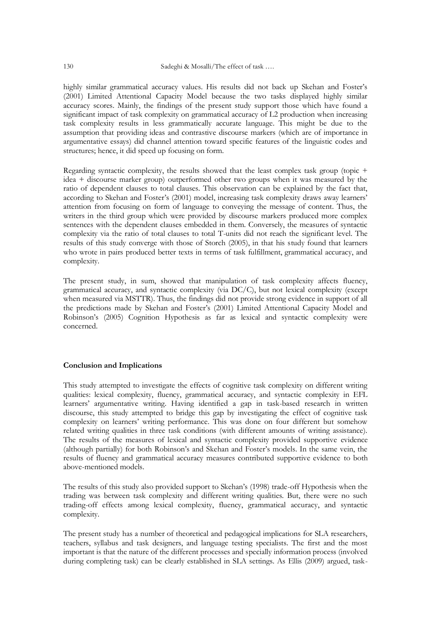highly similar grammatical accuracy values. His results did not back up Skehan and Foster's (2001) Limited Attentional Capacity Model because the two tasks displayed highly similar accuracy scores. Mainly, the findings of the present study support those which have found a significant impact of task complexity on grammatical accuracy of L2 production when increasing task complexity results in less grammatically accurate language. This might be due to the assumption that providing ideas and contrastive discourse markers (which are of importance in argumentative essays) did channel attention toward specific features of the linguistic codes and structures; hence, it did speed up focusing on form.

Regarding syntactic complexity, the results showed that the least complex task group (topic + idea + discourse marker group) outperformed other two groups when it was measured by the ratio of dependent clauses to total clauses. This observation can be explained by the fact that, according to Skehan and Foster's (2001) model, increasing task complexity draws away learners' attention from focusing on form of language to conveying the message of content. Thus, the writers in the third group which were provided by discourse markers produced more complex sentences with the dependent clauses embedded in them. Conversely, the measures of syntactic complexity via the ratio of total clauses to total T-units did not reach the significant level. The results of this study converge with those of Storch (2005), in that his study found that learners who wrote in pairs produced better texts in terms of task fulfillment, grammatical accuracy, and complexity.

The present study, in sum, showed that manipulation of task complexity affects fluency, grammatical accuracy, and syntactic complexity (via DC/C), but not lexical complexity (except when measured via MSTTR). Thus, the findings did not provide strong evidence in support of all the predictions made by Skehan and Foster"s (2001) Limited Attentional Capacity Model and Robinson"s (2005) Cognition Hypothesis as far as lexical and syntactic complexity were concerned.

#### **Conclusion and Implications**

This study attempted to investigate the effects of cognitive task complexity on different writing qualities: lexical complexity, fluency, grammatical accuracy, and syntactic complexity in EFL learners" argumentative writing. Having identified a gap in task-based research in written discourse, this study attempted to bridge this gap by investigating the effect of cognitive task complexity on learners" writing performance. This was done on four different but somehow related writing qualities in three task conditions (with different amounts of writing assistance). The results of the measures of lexical and syntactic complexity provided supportive evidence (although partially) for both Robinson"s and Skehan and Foster"s models. In the same vein, the results of fluency and grammatical accuracy measures contributed supportive evidence to both above-mentioned models.

The results of this study also provided support to Skehan"s (1998) trade-off Hypothesis when the trading was between task complexity and different writing qualities. But, there were no such trading-off effects among lexical complexity, fluency, grammatical accuracy, and syntactic complexity.

The present study has a number of theoretical and pedagogical implications for SLA researchers, teachers, syllabus and task designers, and language testing specialists. The first and the most important is that the nature of the different processes and specially information process (involved during completing task) can be clearly established in SLA settings. As Ellis (2009) argued, task-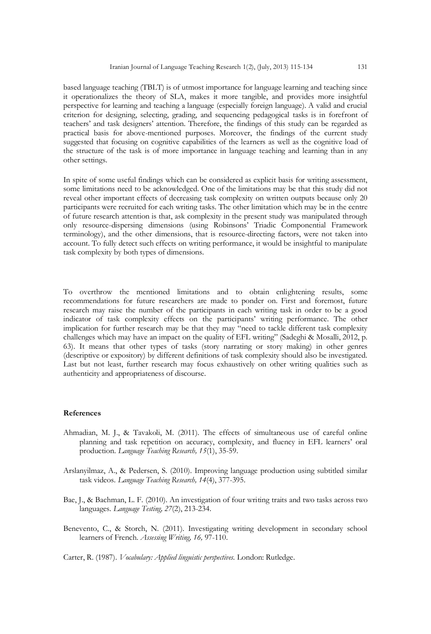based language teaching (TBLT) is of utmost importance for language learning and teaching since it operationalizes the theory of SLA, makes it more tangible, and provides more insightful perspective for learning and teaching a language (especially foreign language). A valid and crucial criterion for designing, selecting, grading, and sequencing pedagogical tasks is in forefront of teachers" and task designers" attention. Therefore, the findings of this study can be regarded as practical basis for above-mentioned purposes. Moreover, the findings of the current study suggested that focusing on cognitive capabilities of the learners as well as the cognitive load of the structure of the task is of more importance in language teaching and learning than in any other settings.

In spite of some useful findings which can be considered as explicit basis for writing assessment, some limitations need to be acknowledged. One of the limitations may be that this study did not reveal other important effects of decreasing task complexity on written outputs because only 20 participants were recruited for each writing tasks. The other limitation which may be in the centre of future research attention is that, ask complexity in the present study was manipulated through only resource-dispersing dimensions (using Robinsons" Triadic Componential Framework terminology), and the other dimensions, that is resource-directing factors, were not taken into account. To fully detect such effects on writing performance, it would be insightful to manipulate task complexity by both types of dimensions.

To overthrow the mentioned limitations and to obtain enlightening results, some recommendations for future researchers are made to ponder on. First and foremost, future research may raise the number of the participants in each writing task in order to be a good indicator of task complexity effects on the participants" writing performance. The other implication for further research may be that they may "need to tackle different task complexity challenges which may have an impact on the quality of EFL writing" (Sadeghi & Mosalli, 2012, p. 63). It means that other types of tasks (story narrating or story making) in other genres (descriptive or expository) by different definitions of task complexity should also be investigated. Last but not least, further research may focus exhaustively on other writing qualities such as authenticity and appropriateness of discourse.

#### **References**

- Ahmadian, M. J., & Tavakoli, M. (2011). The effects of simultaneous use of careful online planning and task repetition on accuracy, complexity, and fluency in EFL learners" oral production. *Language Teaching Research, 15*(1), 35-59.
- Arslanyilmaz, A., & Pedersen, S. (2010). Improving language production using subtitled similar task videos. *Language Teaching Research, 14*(4), 377-395.
- Bae, J., & Bachman, L. F. (2010). An investigation of four writing traits and two tasks across two languages. *Language Testing, 27*(2), 213-234.
- Benevento, C., & Storch, N. (2011). Investigating writing development in secondary school learners of French. *Assessing Writing, 16,* 97-110.

Carter, R. (1987). *Vocabulary: Applied linguistic perspectives.* London: Rutledge.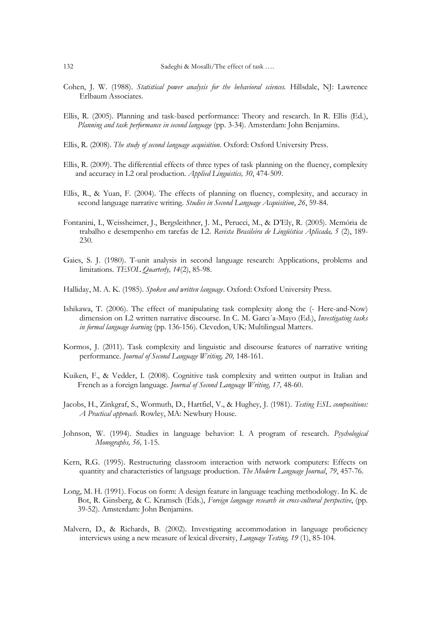- Cohen, J. W. (1988). *Statistical power analysis for the behavioral sciences*. Hillsdale, NJ: Lawrence Erlbaum Associates.
- Ellis, R. (2005). Planning and task-based performance: Theory and research. In R. Ellis (Ed.), *Planning and task performance in second language* (pp. 3-34). Amsterdam: John Benjamins.
- Ellis, R. (2008). *The study of second language acquisition*. Oxford: Oxford University Press.
- Ellis, R. (2009). The differential effects of three types of task planning on the fluency, complexity and accuracy in L2 oral production. *Applied Linguistics, 30*, 474-509.
- Ellis, R., & Yuan, F. (2004). The effects of planning on fluency, complexity, and accuracy in second language narrative writing. *Studies in Second Language Acquisition*, *26*, 59-84.
- Fontanini, I., Weissheimer, J., Bergsleithner, J. M., Perucci, M., & D"Ely, R. (2005). Memória de trabalho e desempenho em tarefas de L2. *Revista Brasileira de Lingüística Aplicada, 5* (2), 189- 230.
- Gaies, S. J. (1980). T-unit analysis in second language research: Applications, problems and limitations. *TESOL Quarterly, 14*(2), 85-98.
- Halliday, M. A. K. (1985). *Spoken and written language*. Oxford: Oxford University Press.
- Ishikawa, T. (2006). The effect of manipulating task complexity along the (- Here-and-Now) dimension on L2 written narrative discourse. In C. M. Garcı´a-Mayo (Ed.), *Investigating tasks in formal language learning* (pp. 136-156). Clevedon, UK: Multilingual Matters.
- Kormos, J. (2011). Task complexity and linguistic and discourse features of narrative writing performance. *Journal of Second Language Writing, 20,* 148-161.
- Kuiken, F., & Vedder, I. (2008). Cognitive task complexity and written output in Italian and French as a foreign language. *Journal of Second Language Writing, 17,* 48-60.
- Jacobs, H., Zinkgraf, S., Wormuth, D., Hartfiel, V., & Hughey, J. (1981). *Testing ESL compositions: A Practical approach.* Rowley, MA: Newbury House.
- Johnson, W. (1994). Studies in language behavior: I. A program of research. *Psychological Monographs, 56,* 1-15.
- Kern, R.G. (1995). Restructuring classroom interaction with network computers: Effects on quantity and characteristics of language production. *The Modern Language Journal*, *79*, 457-76.
- Long, M. H. (1991). Focus on form: A design feature in language teaching methodology. In K. de Bot, R. Ginsberg, & C. Kramsch (Eds.), *Foreign language research in cross-cultural perspective*, (pp. 39-52). Amsterdam: John Benjamins.
- Malvern, D., & Richards, B. (2002). Investigating accommodation in language proficiency interviews using a new measure of lexical diversity, *Language Testing, 19* (1), 85-104.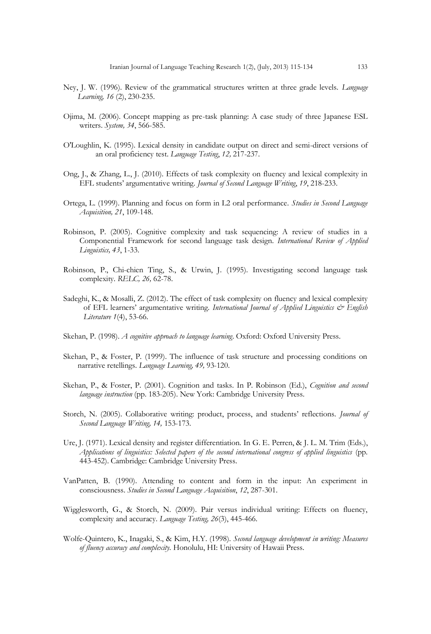- Ney, J. W. (1996). Review of the grammatical structures written at three grade levels. *Language Learning, 16* (2), 230-235.
- Ojima, M. (2006). Concept mapping as pre-task planning: A case study of three Japanese ESL writers. *System, 34*, 566-585.
- O'Loughlin, K. (1995). Lexical density in candidate output on direct and semi-direct versions of an oral proficiency test. *Language Testing*, *12,* 217-237.
- Ong, J., & Zhang, L., J. (2010). Effects of task complexity on fluency and lexical complexity in EFL students" argumentative writing. *Journal of Second Language Writing*, *19*, 218-233.
- Ortega, L. (1999). Planning and focus on form in L2 oral performance. *Studies in Second Language Acquisition, 21*, 109-148.
- Robinson, P. (2005). Cognitive complexity and task sequencing: A review of studies in a Componential Framework for second language task design. *International Review of Applied Linguistics, 43*, 1-33.
- Robinson, P., Chi-chien Ting, S., & Urwin, J. (1995). Investigating second language task complexity. *RELC, 26,* 62-78.
- Sadeghi, K., & Mosalli, Z. (2012). The effect of task complexity on fluency and lexical complexity of EFL learners" argumentative writing. *International Journal of Applied Linguistics & English Literature 1*(4), 53-66*.*
- Skehan, P. (1998). *A cognitive approach to language learning*. Oxford: Oxford University Press.
- Skehan, P., & Foster, P. (1999). The influence of task structure and processing conditions on narrative retellings. *Language Learning, 49,* 93-120.
- Skehan, P., & Foster, P. (2001). Cognition and tasks. In P. Robinson (Ed.), *Cognition and second language instruction* (pp. 183-205). New York: Cambridge University Press.
- Storch, N. (2005). Collaborative writing: product, process, and students" reflections. *Journal of Second Language Writing, 14,* 153-173.
- Ure, J. (1971). Lexical density and register differentiation. In G. E. Perren, & J. L. M. Trim (Eds.), *Applications of linguistics: Selected papers of the second international congress of applied linguistics* (pp. 443-452). Cambridge: Cambridge University Press.
- VanPatten, B. (1990). Attending to content and form in the input: An experiment in consciousness. *Studies in Second Language Acquisition*, *12*, 287-301.
- Wigglesworth, G., & Storch, N. (2009). Pair versus individual writing: Effects on fluency, complexity and accuracy. *Language Testing, 26*(3), 445-466.
- Wolfe-Quintero, K., Inagaki, S., & Kim, H.Y. (1998). *Second language development in writing: Measures of fluency accuracy and complexity.* Honolulu, HI: University of Hawaii Press.